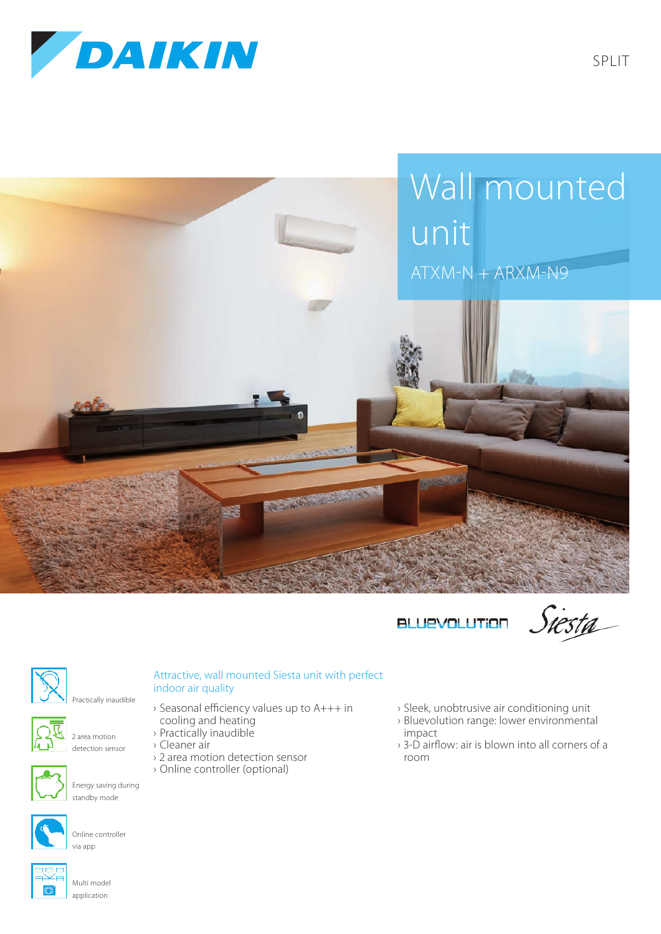





Siesta



## Attractive, wall mounted Siesta unit with perfect indoor air quality

2 area motion detection sensor

Practically inaudible



Energy saving during standby mode



Online controller via app



Multi model application

- › Seasonal efficiency values up to A+++ in cooling and heating
- › Practically inaudible
- › Cleaner air
- › 2 area motion detection sensor
- › Online controller (optional)
- › Sleek, unobtrusive air conditioning unit
- › Bluevolution range: lower environmental impact
- › 3-D airflow: air is blown into all corners of a room